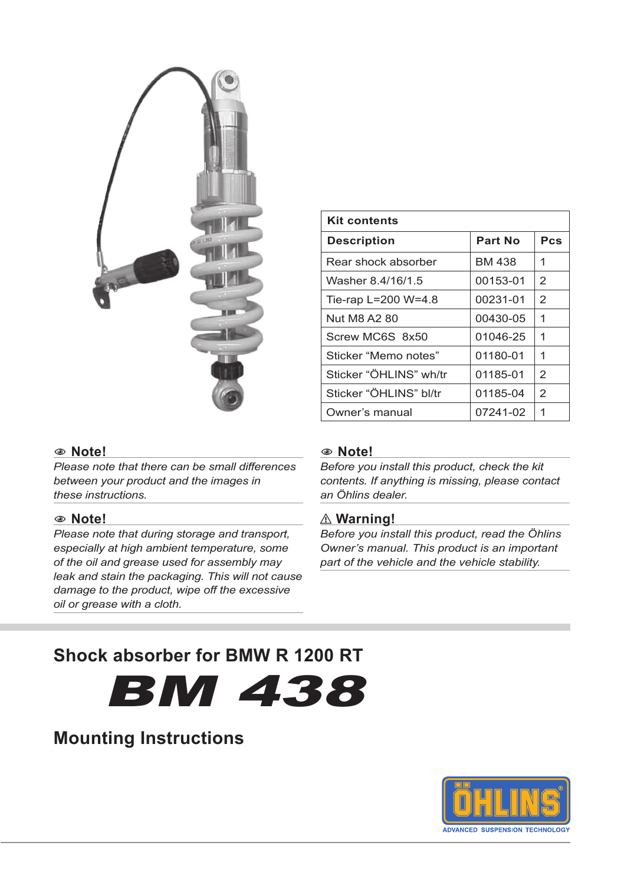

| <b>Kit contents</b>    |          |     |  |  |
|------------------------|----------|-----|--|--|
| <b>Description</b>     | Part No  | Pcs |  |  |
| Rear shock absorber    | BM 438   | 1   |  |  |
| Washer 8.4/16/1.5      | 00153-01 | 2   |  |  |
| Tie-rap L=200 W=4.8    | 00231-01 | 2   |  |  |
| Nut M8 A2 80           | 00430-05 | 1   |  |  |
| Screw MC6S 8x50        | 01046-25 | 1   |  |  |
| Sticker "Memo notes"   | 01180-01 | 1   |  |  |
| Sticker "ÖHLINS" wh/tr | 01185-01 | 2   |  |  |
| Sticker "ÖHLINS" bl/tr | 01185-04 | 2   |  |  |
| Owner's manual         | 07241-02 | 1   |  |  |

#### 1 **Note!**

*Please note that there can be small differences between your product and the images in these instructions.*

#### 1 **Note!**

*Please note that during storage and transport, especially at high ambient temperature, some of the oil and grease used for assembly may leak and stain the packaging. This will not cause damage to the product, wipe off the excessive oil or grease with a cloth.*

#### 1 **Note!**

*Before you install this product, check the kit contents. If anything is missing, please contact an Öhlins dealer.*

#### ⚠**⚠ Warning!**

*Before you install this product, read the Öhlins Owner's manual. This product is an important part of the vehicle and the vehicle stability.*

# **Shock absorber for BMW R 1200 RT**

bm 438

# **Mounting Instructions**

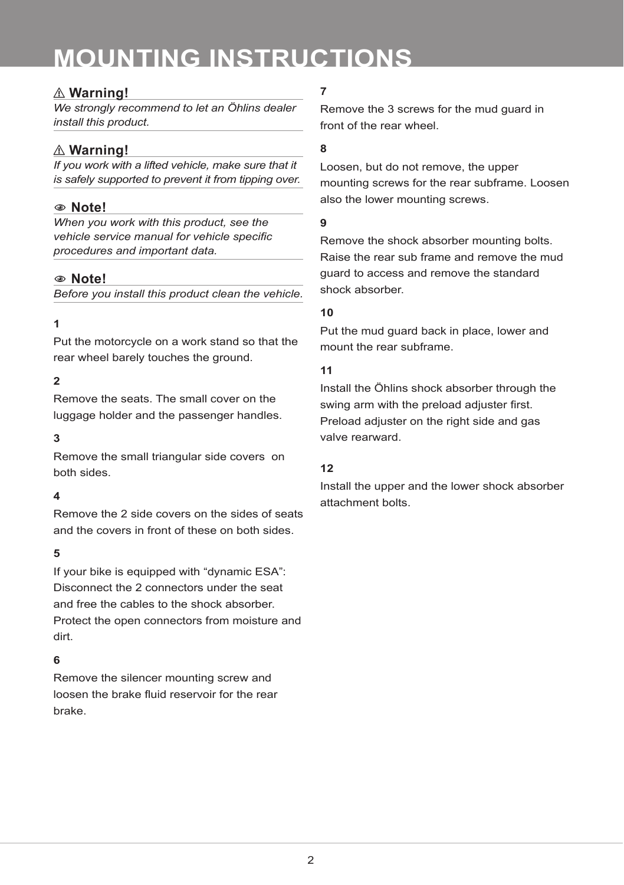# **mounting instructions**

## ⚠**⚠ Warning!**

*We strongly recommend to let an Öhlins dealer install this product.*

# ⚠**⚠ Warning!**

*If you work with a lifted vehicle, make sure that it is safely supported to prevent it from tipping over.*

### 1 **Note!**

*When you work with this product, see the vehicle service manual for vehicle specific procedures and important data.*

#### 1 **Note!**

*Before you install this product clean the vehicle.*

### **1**

Put the motorcycle on a work stand so that the rear wheel barely touches the ground.

### **2**

Remove the seats. The small cover on the luggage holder and the passenger handles.

#### **3**

Remove the small triangular side covers on both sides.

#### **4**

Remove the 2 side covers on the sides of seats and the covers in front of these on both sides.

#### **5**

If your bike is equipped with "dynamic ESA": Disconnect the 2 connectors under the seat and free the cables to the shock absorber. Protect the open connectors from moisture and dirt.

## **6**

Remove the silencer mounting screw and loosen the brake fluid reservoir for the rear brake.

# **7**

Remove the 3 screws for the mud guard in front of the rear wheel.

#### **8**

Loosen, but do not remove, the upper mounting screws for the rear subframe. Loosen also the lower mounting screws.

#### **9**

Remove the shock absorber mounting bolts. Raise the rear sub frame and remove the mud guard to access and remove the standard shock absorber.

#### **10**

Put the mud guard back in place, lower and mount the rear subframe.

#### **11**

Install the Öhlins shock absorber through the swing arm with the preload adjuster first. Preload adjuster on the right side and gas valve rearward.

#### **12**

Install the upper and the lower shock absorber attachment bolts.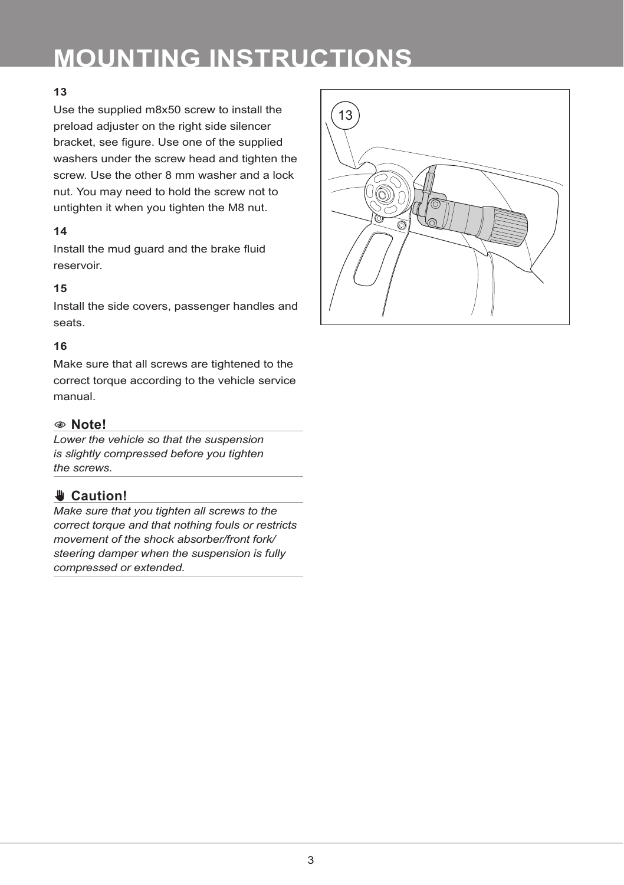# **mounting instructions**

#### **13**

Use the supplied m8x50 screw to install the preload adjuster on the right side silencer bracket, see figure. Use one of the supplied washers under the screw head and tighten the screw. Use the other 8 mm washer and a lock nut. You may need to hold the screw not to untighten it when you tighten the M8 nut.

#### **14**

Install the mud guard and the brake fluid reservoir.

#### **15**

Install the side covers, passenger handles and seats.

#### **16**

Make sure that all screws are tightened to the correct torque according to the vehicle service manual.

#### 1 **Note!**

*Lower the vehicle so that the suspension is slightly compressed before you tighten the screws.*

# ✋**✋ Caution!**

*Make sure that you tighten all screws to the correct torque and that nothing fouls or restricts movement of the shock absorber/front fork/ steering damper when the suspension is fully compressed or extended.*